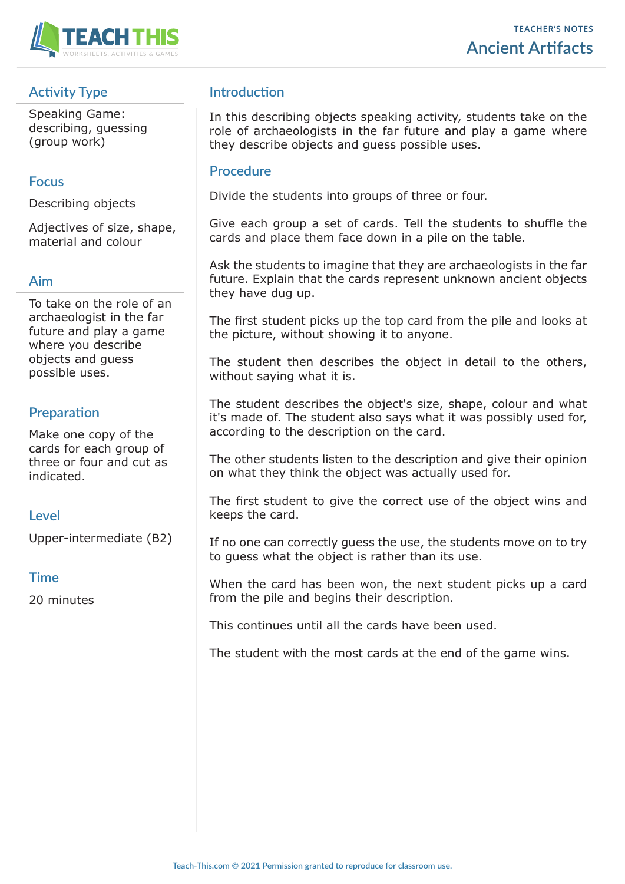

## **Activity Type**

Speaking Game: describing, guessing (group work)

### **Focus**

Describing objects

Adjectives of size, shape, material and colour

#### **Aim**

To take on the role of an archaeologist in the far future and play a game where you describe objects and guess possible uses.

## **Preparation**

Make one copy of the cards for each group of three or four and cut as indicated.

## **Level**

Upper-intermediate (B2)

#### **Time**

20 minutes

## **Introduction**

In this describing objects speaking activity, students take on the role of archaeologists in the far future and play a game where they describe objects and guess possible uses.

#### **Procedure**

Divide the students into groups of three or four.

Give each group a set of cards. Tell the students to shuffle the cards and place them face down in a pile on the table.

Ask the students to imagine that they are archaeologists in the far future. Explain that the cards represent unknown ancient objects they have dug up.

The first student picks up the top card from the pile and looks at the picture, without showing it to anyone.

The student then describes the object in detail to the others, without saying what it is.

The student describes the object's size, shape, colour and what it's made of. The student also says what it was possibly used for, according to the description on the card.

The other students listen to the description and give their opinion on what they think the object was actually used for.

The first student to give the correct use of the object wins and keeps the card.

If no one can correctly guess the use, the students move on to try to guess what the object is rather than its use.

When the card has been won, the next student picks up a card from the pile and begins their description.

This continues until all the cards have been used.

The student with the most cards at the end of the game wins.